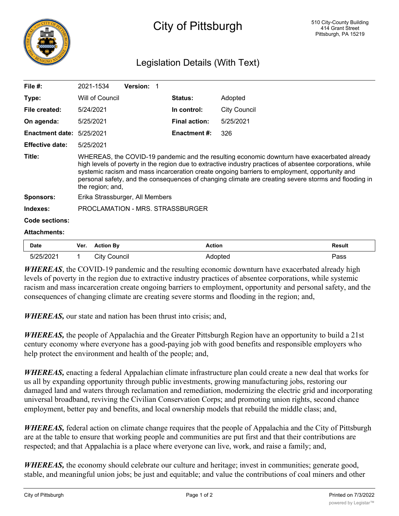

## Legislation Details (With Text)

| File $#$ :             | 2021-1534                                                                                                                                                                                                                                                                                                                                                                                                                             | <b>Version:</b> |                      |                     |  |  |
|------------------------|---------------------------------------------------------------------------------------------------------------------------------------------------------------------------------------------------------------------------------------------------------------------------------------------------------------------------------------------------------------------------------------------------------------------------------------|-----------------|----------------------|---------------------|--|--|
| Type:                  | Will of Council                                                                                                                                                                                                                                                                                                                                                                                                                       |                 | <b>Status:</b>       | Adopted             |  |  |
| File created:          | 5/24/2021                                                                                                                                                                                                                                                                                                                                                                                                                             |                 | In control:          | <b>City Council</b> |  |  |
| On agenda:             | 5/25/2021                                                                                                                                                                                                                                                                                                                                                                                                                             |                 | <b>Final action:</b> | 5/25/2021           |  |  |
| <b>Enactment date:</b> | 5/25/2021                                                                                                                                                                                                                                                                                                                                                                                                                             |                 | <b>Enactment #:</b>  | 326                 |  |  |
| <b>Effective date:</b> | 5/25/2021                                                                                                                                                                                                                                                                                                                                                                                                                             |                 |                      |                     |  |  |
| Title:                 | WHEREAS, the COVID-19 pandemic and the resulting economic downturn have exacerbated already<br>high levels of poverty in the region due to extractive industry practices of absentee corporations, while<br>systemic racism and mass incarceration create ongoing barriers to employment, opportunity and<br>personal safety, and the consequences of changing climate are creating severe storms and flooding in<br>the region; and, |                 |                      |                     |  |  |
| <b>Sponsors:</b>       | Erika Strassburger, All Members                                                                                                                                                                                                                                                                                                                                                                                                       |                 |                      |                     |  |  |
| Indexes:               | PROCLAMATION - MRS. STRASSBURGER                                                                                                                                                                                                                                                                                                                                                                                                      |                 |                      |                     |  |  |
| Code sections:         |                                                                                                                                                                                                                                                                                                                                                                                                                                       |                 |                      |                     |  |  |
| <b>Attachments:</b>    |                                                                                                                                                                                                                                                                                                                                                                                                                                       |                 |                      |                     |  |  |

| Date | Ver. | Rv.                 | Action<br>. | रesult<br>. |
|------|------|---------------------|-------------|-------------|
| 'n.  |      | <br>∵itv<br>`ouncil | ורר         | 'ass        |

*WHEREAS*, the COVID-19 pandemic and the resulting economic downturn have exacerbated already high levels of poverty in the region due to extractive industry practices of absentee corporations, while systemic racism and mass incarceration create ongoing barriers to employment, opportunity and personal safety, and the consequences of changing climate are creating severe storms and flooding in the region; and,

*WHEREAS,* our state and nation has been thrust into crisis; and,

*WHEREAS,* the people of Appalachia and the Greater Pittsburgh Region have an opportunity to build a 21st century economy where everyone has a good-paying job with good benefits and responsible employers who help protect the environment and health of the people; and,

*WHEREAS,* enacting a federal Appalachian climate infrastructure plan could create a new deal that works for us all by expanding opportunity through public investments, growing manufacturing jobs, restoring our damaged land and waters through reclamation and remediation, modernizing the electric grid and incorporating universal broadband, reviving the Civilian Conservation Corps; and promoting union rights, second chance employment, better pay and benefits, and local ownership models that rebuild the middle class; and,

*WHEREAS,* federal action on climate change requires that the people of Appalachia and the City of Pittsburgh are at the table to ensure that working people and communities are put first and that their contributions are respected; and that Appalachia is a place where everyone can live, work, and raise a family; and,

*WHEREAS*, the economy should celebrate our culture and heritage; invest in communities; generate good, stable, and meaningful union jobs; be just and equitable; and value the contributions of coal miners and other